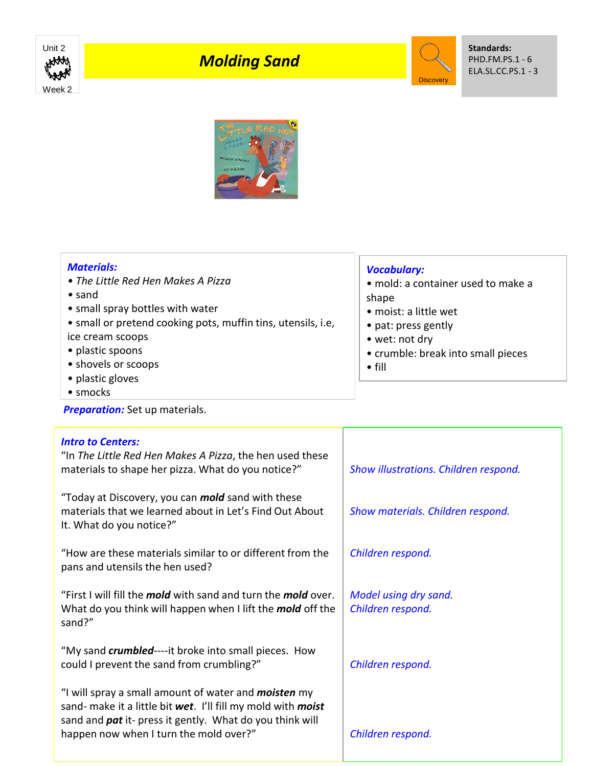

## *Molding Sand*



**Standards:** PHD.FM.PS.1 - 6 ELA.SL.CC.PS.1 - 3



• smocks

**Preparation:** Set up materials.

| <b>Intro to Centers:</b><br>"In The Little Red Hen Makes A Pizza, the hen used these<br>materials to shape her pizza. What do you notice?"                                                     | Show illustrations. Children respond.      |
|------------------------------------------------------------------------------------------------------------------------------------------------------------------------------------------------|--------------------------------------------|
| "Today at Discovery, you can <i>mold</i> sand with these                                                                                                                                       |                                            |
| materials that we learned about in Let's Find Out About<br>It. What do you notice?"                                                                                                            | Show materials. Children respond.          |
| "How are these materials similar to or different from the<br>pans and utensils the hen used?                                                                                                   | Children respond.                          |
| "First I will fill the <i>mold</i> with sand and turn the <i>mold</i> over.<br>What do you think will happen when I lift the mold off the                                                      | Model using dry sand.<br>Children respond. |
| sand?"                                                                                                                                                                                         |                                            |
| "My sand <i>crumbled</i> ----it broke into small pieces. How<br>could I prevent the sand from crumbling?"                                                                                      | Children respond.                          |
| "I will spray a small amount of water and <b>moisten</b> my<br>sand- make it a little bit wet. I'll fill my mold with moist<br>sand and <i>pat</i> it- press it gently. What do you think will |                                            |
| happen now when I turn the mold over?"                                                                                                                                                         | Children respond.                          |